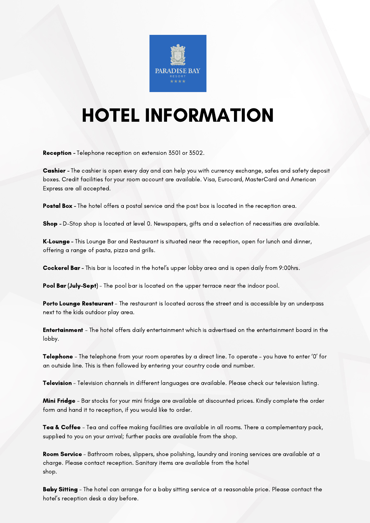

## HOTEL INFORMATION

Reception - Telephone reception on extension 3501 or 3502.

Cashier - The cashier is open every day and can help you with currency exchange, safes and safety deposit boxes. Credit facilities for your room account are available. Visa, Eurocard, MasterCard and American Express are all accepted.

Postal Box - The hotel offers a postal service and the post box is located in the reception area.

Shop - D-Stop shop is located at level 0. Newspapers, gifts and a selection of necessities are available.

K-Lounge - This Lounge Bar and Restaurant is situated near the reception, open for lunch and dinner, offering a range of pasta, pizza and grills.

Cockerel Bar - This bar is located in the hotel's upper lobby area and is open daily from 9:00hrs.

Pool Bar (July–Sept) - The pool bar is located on the upper terrace near the indoor pool.

Porto Lounge Restaurant - The restaurant is located across the street and is accessible by an underpass next to the kids outdoor play area.

Entertainment - The hotel offers daily entertainment which is advertised on the entertainment board in the lobby.

Telephone - The telephone from your room operates by a direct line. To operate - you have to enter '0' for an outside line. This is then followed by entering your country code and number.

Television - Television channels in different languages are available. Please check our television listing.

**Mini Fridge** - Bar stocks for your mini fridge are available at discounted prices. Kindly complete the order form and hand it to reception, if you would like to order.

Tea & Coffee - Tea and coffee making facilities are available in all rooms. There a complementary pack, supplied to you on your arrival; further packs are available from the shop.

Room Service - Bathroom robes, slippers, shoe polishing, laundry and ironing services are available at a charge. Please contact reception. Sanitary items are available from the hotel shop.

Baby Sitting - The hotel can arrange for a baby sitting service at a reasonable price. Please contact the hotel's reception desk a day before.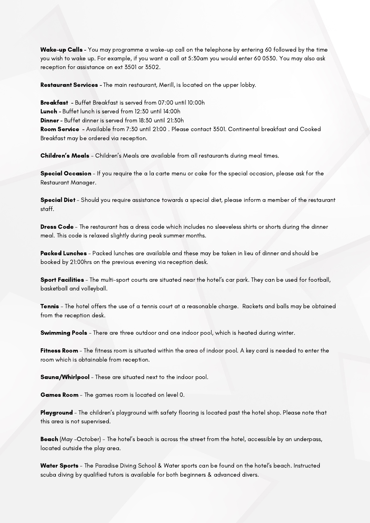Wake-up Calls - You may programme a wake-up call on the telephone by entering 60 followed by the time you wish to wake up. For example, if you want a call at 5:30am you would enter 60 0530. You may also ask reception for assistance on ext 3501 or 3502.

Restaurant Services - The main restaurant, Merill, is located on the upper lobby.

Breakfast - Buffet Breakfast is served from 07:00 until 10:00h Lunch - Buffet lunch is served from 12:30 until 14:00h Dinner - Buffet dinner is served from 18:30 until 21:30h Room Service - Available from 7:30 until 21:00 . Please contact 3501. Continental breakfast and Cooked Breakfast may be ordered via reception.

Children's Meals - Children's Meals are available from all restaurants during meal times.

Special Occasion - If you require the a la carte menu or cake for the special occasion, please ask for the Restaurant Manager.

Special Diet - Should you require assistance towards a special diet, please inform a member of the restaurant staff.

Dress Code - The restaurant has a dress code which includes no sleeveless shirts or shorts during the dinner meal. This code is relaxed slightly during peak summer months.

Packed Lunches - Packed lunches are available and these may be taken in lieu of dinner and should be booked by 21:00hrs on the previous evening via reception desk.

Sport Facilities - The multi-sport courts are situated near the hotel's car park. They can be used for football, basketball and volleyball.

**Tennis** - The hotel offers the use of a tennis court at a reasonable charge. Rackets and balls may be obtained from the reception desk.

**Swimming Pools** - There are three outdoor and one indoor pool, which is heated during winter.

Fitness Room - The fitness room is situated within the area of indoor pool. A key card is needed to enter the room which is obtainable from reception.

Sauna/Whirlpool - These are situated next to the indoor pool.

Games Room - The games room is located on level 0.

Playground - The children's playground with safety flooring is located past the hotel shop. Please note that this area is not supervised.

Beach (May -October) - The hotel's beach is across the street from the hotel, accessible by an underpass, located outside the play area.

Water Sports - The Paradise Diving School & Water sports can be found on the hotel's beach. Instructed scuba diving by qualified tutors is available for both beginners & advanced divers.